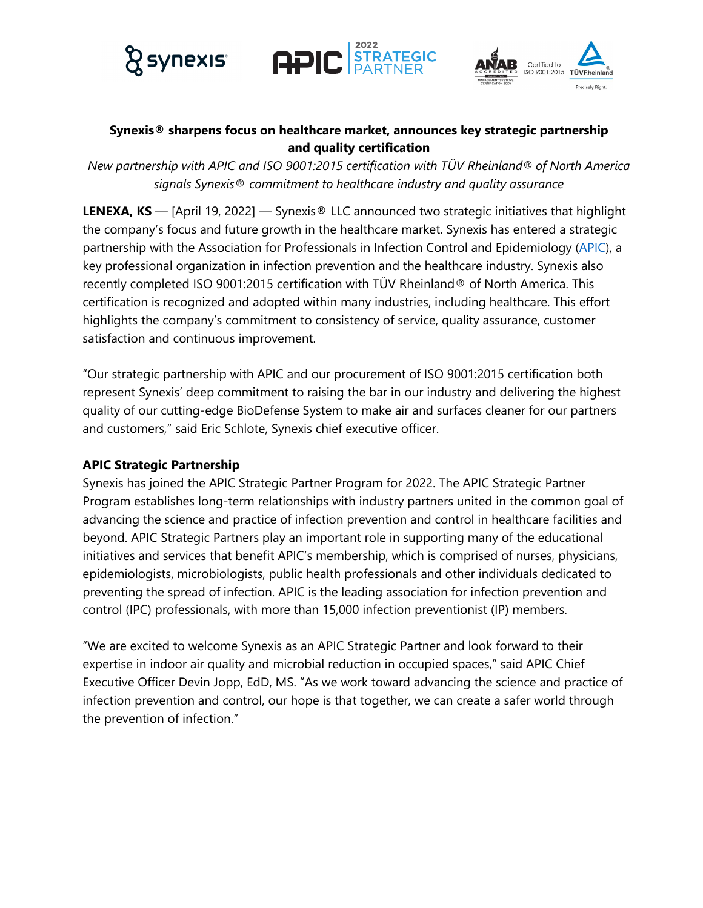





## **Synexis® sharpens focus on healthcare market, announces key strategic partnership and quality certification**

*New partnership with APIC and ISO 9001:2015 certification with TÜV Rheinland*® *of North America signals Synexis*® *commitment to healthcare industry and quality assurance*

**LENEXA, KS** — [April 19, 2022] — Synexis® LLC announced two strategic initiatives that highlight the company's focus and future growth in the healthcare market. Synexis has entered a strategic partnership with the Association for Professionals in Infection Control and Epidemiology (APIC), a key professional organization in infection prevention and the healthcare industry. Synexis also recently completed ISO 9001:2015 certification with TÜV Rheinland® of North America. This certification is recognized and adopted within many industries, including healthcare. This effort highlights the company's commitment to consistency of service, quality assurance, customer satisfaction and continuous improvement.

"Our strategic partnership with APIC and our procurement of ISO 9001:2015 certification both represent Synexis' deep commitment to raising the bar in our industry and delivering the highest quality of our cutting-edge BioDefense System to make air and surfaces cleaner for our partners and customers," said Eric Schlote, Synexis chief executive officer.

### **APIC Strategic Partnership**

Synexis has joined the APIC Strategic Partner Program for 2022. The APIC Strategic Partner Program establishes long-term relationships with industry partners united in the common goal of advancing the science and practice of infection prevention and control in healthcare facilities and beyond. APIC Strategic Partners play an important role in supporting many of the educational initiatives and services that benefit APIC's membership, which is comprised of nurses, physicians, epidemiologists, microbiologists, public health professionals and other individuals dedicated to preventing the spread of infection. APIC is the leading association for infection prevention and control (IPC) professionals, with more than 15,000 infection preventionist (IP) members.

"We are excited to welcome Synexis as an APIC Strategic Partner and look forward to their expertise in indoor air quality and microbial reduction in occupied spaces," said APIC Chief Executive Officer Devin Jopp, EdD, MS. "As we work toward advancing the science and practice of infection prevention and control, our hope is that together, we can create a safer world through the prevention of infection."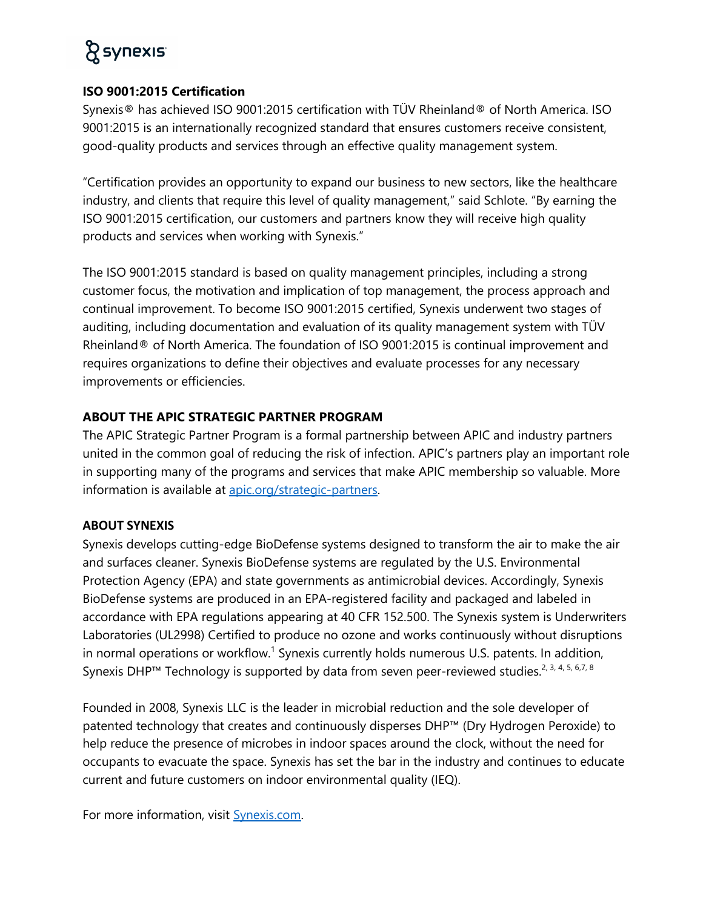# **& synexis**

## **ISO 9001:2015 Certification**

Synexis® has achieved ISO 9001:2015 certification with TÜV Rheinland® of North America. ISO 9001:2015 is an internationally recognized standard that ensures customers receive consistent, good-quality products and services through an effective quality management system.

"Certification provides an opportunity to expand our business to new sectors, like the healthcare industry, and clients that require this level of quality management," said Schlote. "By earning the ISO 9001:2015 certification, our customers and partners know they will receive high quality products and services when working with Synexis."

The ISO 9001:2015 standard is based on quality management principles, including a strong customer focus, the motivation and implication of top management, the process approach and continual improvement. To become ISO 9001:2015 certified, Synexis underwent two stages of auditing, including documentation and evaluation of its quality management system with TÜV Rheinland® of North America. The foundation of ISO 9001:2015 is continual improvement and requires organizations to define their objectives and evaluate processes for any necessary improvements or efficiencies.

## **ABOUT THE APIC STRATEGIC PARTNER PROGRAM**

The APIC Strategic Partner Program is a formal partnership between APIC and industry partners united in the common goal of reducing the risk of infection. APIC's partners play an important role in supporting many of the programs and services that make APIC membership so valuable. More information is available at apic.org/strategic-partners.

### **ABOUT SYNEXIS**

Synexis develops cutting-edge BioDefense systems designed to transform the air to make the air and surfaces cleaner. Synexis BioDefense systems are regulated by the U.S. Environmental Protection Agency (EPA) and state governments as antimicrobial devices. Accordingly, Synexis BioDefense systems are produced in an EPA-registered facility and packaged and labeled in accordance with EPA regulations appearing at 40 CFR 152.500. The Synexis system is Underwriters Laboratories (UL2998) Certified to produce no ozone and works continuously without disruptions in normal operations or workflow.<sup>1</sup> Synexis currently holds numerous U.S. patents. In addition, Synexis DHP<sup>™</sup> Technology is supported by data from seven peer-reviewed studies.<sup>2, 3, 4, 5, 6,7, 8</sup>

Founded in 2008, Synexis LLC is the leader in microbial reduction and the sole developer of patented technology that creates and continuously disperses DHP™ (Dry Hydrogen Peroxide) to help reduce the presence of microbes in indoor spaces around the clock, without the need for occupants to evacuate the space. Synexis has set the bar in the industry and continues to educate current and future customers on indoor environmental quality (IEQ).

For more information, visit Synexis.com.